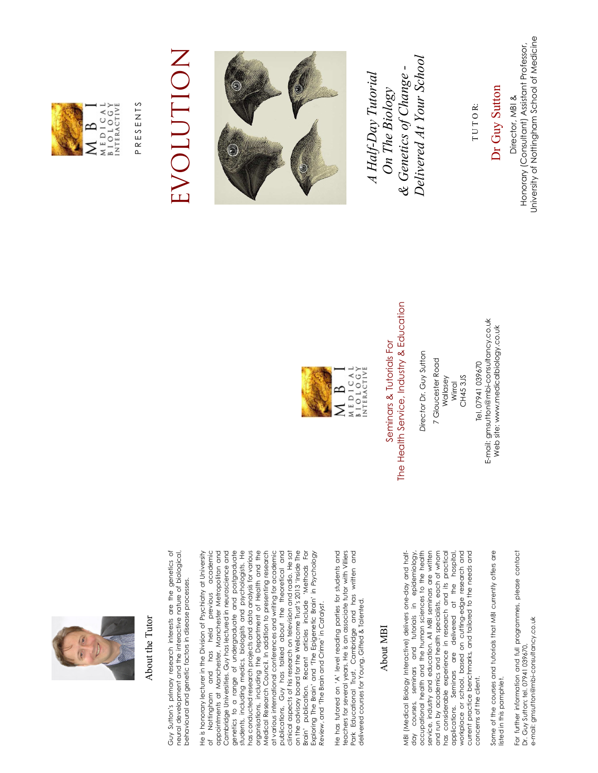

## About the Tutor About the Tutor

Guy Sutton's primary research interests are the genetics of<br>neural development and the interactive nature of biological, Guy Sutton's primary research interests are the genetics of neural development and the interactive nature of biological, behavioural and genetic factors in disease processes. behavioural and genetic factors in disease processes.

He is honorary lecturer in the Division of Psychiatry at University of Nottingham and has held previous academic appointments at Manchester, Manchester Metropolitan and Cambridge Universities. Guy has lectured in neuroscience and genetics to a range of undergraduate and postgraduate students, including medics, biologists and psychologists. He has conducted research projects and data analysis for various organisations, including the Department of Health and the Medical Research Council. In addition to presenting research at various international conferences and writing for academic publications, Guy has talked about the theoretical and clinical aspects of his research on television and radio. He sat on the advisory board for the Wellcome Trust's 2013 'Inside The Brain' publication. Recent articles include 'Methods For Exploring The Brain' and 'The Epigenetic Brain' in *Psychology*  He is honorary lecturer in the Division of Psychiatry at University appointments at Manchester, Manchester Metropolitan and Cambridge Universities. Guy has lectured in neuroscience and genetics to a range of undergraduate and postgraduate students, including medics, biologists and psychologists. He has conducted research projects and data analysis for various organisations, including the Department of Health and the Medical Research Council. In addition to presenting research at various international conferences and writing for academic publications, Guy has talked about the theoretical and clinical aspects of his research on television and radio. He sat on the advisory board for the Wellcome Trust's 2013 'Inside The Brain' publication. Recent articles include 'Methods For of Nottingham and has held previous academic Exploring The Brain' and 'The Epigenetic Brain' in Psychology *Review*, and 'The Brain and Crime' in *Catalyst*. Review, and 'The Brain and Crime' in Catalyst.

He has tutored on 'A' level reading parties for students and teachers for several years. He is an associate tutor with Villiers Park Educational Trust, Cambridge and has written and<br>delivered courses for Young, Gifted & Talented. Park Educational Trust, Cambridge and has written and He has tutored on 'A' level reading parties for students and teachers for several years. He is an associate tutor with Villiers delivered courses for Young, Gifted & Talented.

## About MBI About MBI

day courses, seminars and tutorials in epidemiology, occupational health and the human sciences to the health service, industry and education. All MBI seminars are written and run by academics and health specialists, each of whom has considerable experience in research and its practical applications. Seminars are delivered at the hospital, workplace or school, based on cutting-edge research and current practice benchmarks, and tailored to the needs and service, industry and education. All MBI seminars are written has considerable experience in research and its practical workplace or school, based on cutting-edge research and current practice benchmarks, and tailored to the needs and MBI (Medical Biology Interactive) delivers one-day and half-<br>day courses, seminars and tutorials in epidemiology. MBI (Medical Biology Interactive) delivers one-day and halfoccupational health and the human sciences to the health and run by academics and health specialists, each of whom delivered at the hospital applications. Seminars are concerns of the client. concerns of the client.

Some of the courses and tutorials that MBI currently offers are Some of the courses and tutorials that MBI currently offers are listed in this pamphlet. listed in this pamphlet.

For further information and full programmes, please contact For further information and full programmes, please contact e-mail: gmsutton@mbi-consultancy.co.uk e-mail: gmsutton@mbi-consultancy.co.uk Dr. Guy Sutton; tel. 07941 039670, Dr. Guy Sutton; tel. 07941 039670,



## The Health Service, Industry & Education The Health Service, Industry & Education Seminars & Tutorials For Seminars & Tutorials For

Director Dr. Guy Sutton *Director* Dr. Guy Sutton 7 Gloucester Road 7 Gloucester Road CH453JS Wallasey CH45 3JS Wirral

E-mail: gmsutton@mbi-consultancy.co.uk E-mail: gmsutton@mbi-consultancy.co.uk Web site: www.medicalbiology.co.uk Web site: www.medicalbiology.co.uk Tel. 07941 039670 Tel. 07941 039670



 P R E S E N T S PRESENTS

## EVOLUTION EVOLUTION



 *Delivered At Your School*  Delivered At Your School *& Genetics of Change -*  & Genetics of Change - *A Half-Day Tutorial*  A Half-Day Tutorial On The Biology *On The Biology* 

 Dr Guy Sutton Dr Guy Sutton

TUTOR: T U T O R:

University of Nottingham School of Medicine University of Nottingham School of Medicine Honorary (Consultant) Assistant Professor, Honorary (Consultant) Assistant Professor, Director, MBI & Director, MBI &